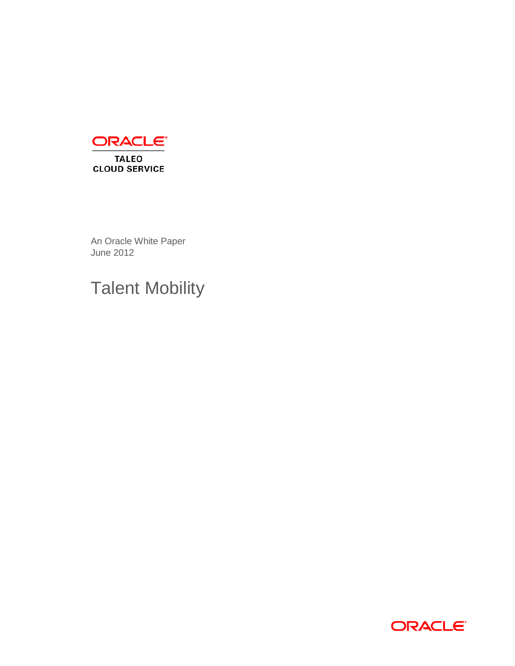

An Oracle White Paper June 2012

# Talent Mobility

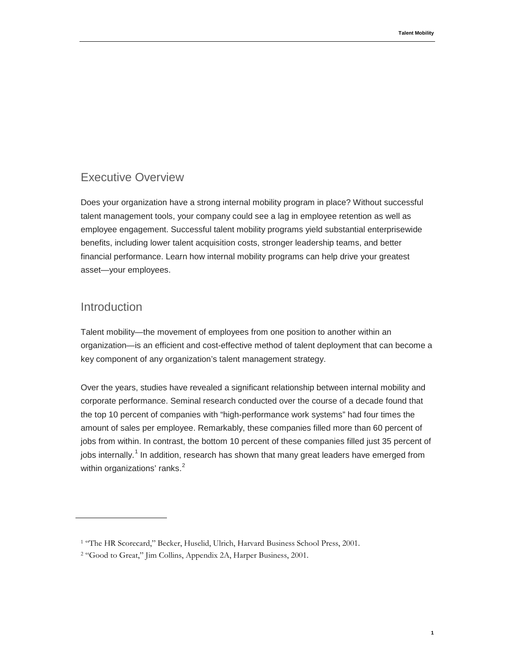# <span id="page-2-0"></span>Executive Overview

Does your organization have a strong internal mobility program in place? Without successful talent management tools, your company could see a lag in employee retention as well as employee engagement. Successful talent mobility programs yield substantial enterprisewide benefits, including lower talent acquisition costs, stronger leadership teams, and better financial performance. Learn how internal mobility programs can help drive your greatest asset—your employees.

# <span id="page-2-1"></span>Introduction

Talent mobility—the movement of employees from one position to another within an organization—is an efficient and cost-effective method of talent deployment that can become a key component of any organization's talent management strategy.

Over the years, studies have revealed a significant relationship between internal mobility and corporate performance. Seminal research conducted over the course of a decade found that the top 10 percent of companies with "high-performance work systems" had four times the amount of sales per employee. Remarkably, these companies filled more than 60 percent of jobs from within. In contrast, the bottom 10 percent of these companies filled just 35 percent of jobs internally.<sup>[1](#page-2-2)</sup> In addition, research has shown that many great leaders have emerged from within organizations' ranks. $<sup>2</sup>$  $<sup>2</sup>$  $<sup>2</sup>$ </sup>

<span id="page-2-2"></span><sup>1</sup> "The HR Scorecard," Becker, Huselid, Ulrich, Harvard Business School Press, 2001.

<span id="page-2-3"></span><sup>2</sup> "Good to Great," Jim Collins, Appendix 2A, Harper Business, 2001.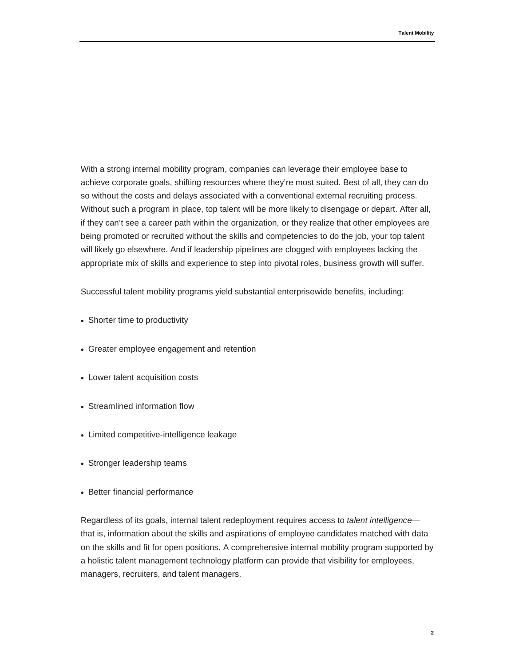With a strong internal mobility program, companies can leverage their employee base to achieve corporate goals, shifting resources where they're most suited. Best of all, they can do so without the costs and delays associated with a conventional external recruiting process. Without such a program in place, top talent will be more likely to disengage or depart. After all, if they can't see a career path within the organization, or they realize that other employees are being promoted or recruited without the skills and competencies to do the job, your top talent will likely go elsewhere. And if leadership pipelines are clogged with employees lacking the appropriate mix of skills and experience to step into pivotal roles, business growth will suffer.

Successful talent mobility programs yield substantial enterprisewide benefits, including:

- Shorter time to productivity
- Greater employee engagement and retention
- Lower talent acquisition costs
- Streamlined information flow
- Limited competitive-intelligence leakage
- Stronger leadership teams
- Better financial performance

Regardless of its goals, internal talent redeployment requires access to *talent intelligence* that is, information about the skills and aspirations of employee candidates matched with data on the skills and fit for open positions. A comprehensive internal mobility program supported by a holistic talent management technology platform can provide that visibility for employees, managers, recruiters, and talent managers.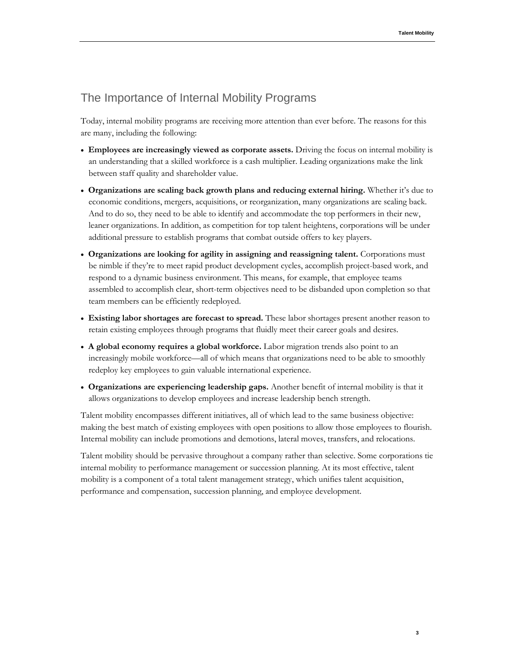# <span id="page-4-0"></span>The Importance of Internal Mobility Programs

Today, internal mobility programs are receiving more attention than ever before. The reasons for this are many, including the following:

- **Employees are increasingly viewed as corporate assets.** Driving the focus on internal mobility is an understanding that a skilled workforce is a cash multiplier. Leading organizations make the link between staff quality and shareholder value.
- **Organizations are scaling back growth plans and reducing external hiring.** Whether it's due to economic conditions, mergers, acquisitions, or reorganization, many organizations are scaling back. And to do so, they need to be able to identify and accommodate the top performers in their new, leaner organizations. In addition, as competition for top talent heightens, corporations will be under additional pressure to establish programs that combat outside offers to key players.
- **Organizations are looking for agility in assigning and reassigning talent.** Corporations must be nimble if they're to meet rapid product development cycles, accomplish project-based work, and respond to a dynamic business environment. This means, for example, that employee teams assembled to accomplish clear, short-term objectives need to be disbanded upon completion so that team members can be efficiently redeployed.
- **Existing labor shortages are forecast to spread.** These labor shortages present another reason to retain existing employees through programs that fluidly meet their career goals and desires.
- **A global economy requires a global workforce.** Labor migration trends also point to an increasingly mobile workforce—all of which means that organizations need to be able to smoothly redeploy key employees to gain valuable international experience.
- **Organizations are experiencing leadership gaps.** Another benefit of internal mobility is that it allows organizations to develop employees and increase leadership bench strength.

Talent mobility encompasses different initiatives, all of which lead to the same business objective: making the best match of existing employees with open positions to allow those employees to flourish. Internal mobility can include promotions and demotions, lateral moves, transfers, and relocations.

Talent mobility should be pervasive throughout a company rather than selective. Some corporations tie internal mobility to performance management or succession planning. At its most effective, talent mobility is a component of a total talent management strategy, which unifies talent acquisition, performance and compensation, succession planning, and employee development.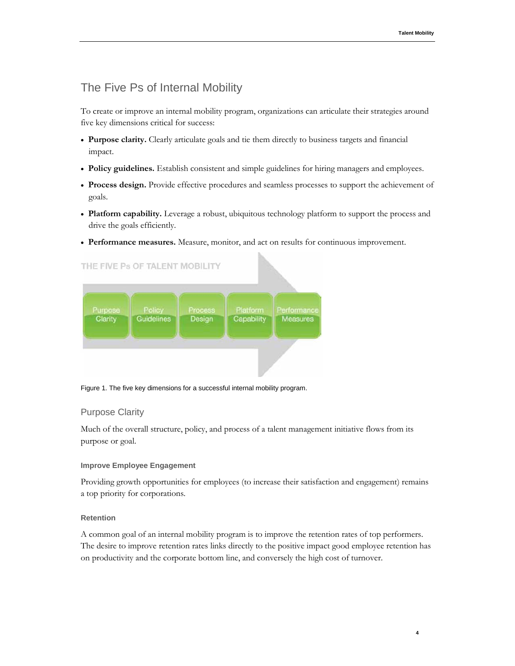# <span id="page-5-0"></span>The Five Ps of Internal Mobility

To create or improve an internal mobility program, organizations can articulate their strategies around five key dimensions critical for success:

- **Purpose clarity.** Clearly articulate goals and tie them directly to business targets and financial impact.
- **Policy guidelines.** Establish consistent and simple guidelines for hiring managers and employees.
- **Process design.** Provide effective procedures and seamless processes to support the achievement of goals.
- **Platform capability.** Leverage a robust, ubiquitous technology platform to support the process and drive the goals efficiently.
- **Performance measures.** Measure, monitor, and act on results for continuous improvement.

# THE FIVE Ps OF TALENT MOBILITY



Figure 1. The five key dimensions for a successful internal mobility program.

# <span id="page-5-1"></span>Purpose Clarity

Much of the overall structure, policy, and process of a talent management initiative flows from its purpose or goal.

### **Improve Employee Engagement**

Providing growth opportunities for employees (to increase their satisfaction and engagement) remains a top priority for corporations.

### **Retention**

A common goal of an internal mobility program is to improve the retention rates of top performers. The desire to improve retention rates links directly to the positive impact good employee retention has on productivity and the corporate bottom line, and conversely the high cost of turnover.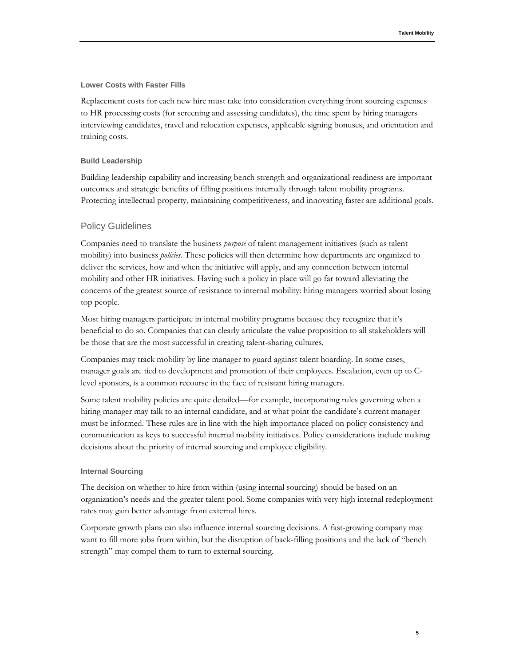#### **Lower Costs with Faster Fills**

Replacement costs for each new hire must take into consideration everything from sourcing expenses to HR processing costs (for screening and assessing candidates), the time spent by hiring managers interviewing candidates, travel and relocation expenses, applicable signing bonuses, and orientation and training costs.

#### **Build Leadership**

Building leadership capability and increasing bench strength and organizational readiness are important outcomes and strategic benefits of filling positions internally through talent mobility programs. Protecting intellectual property, maintaining competitiveness, and innovating faster are additional goals.

### <span id="page-6-0"></span>Policy Guidelines

Companies need to translate the business *purpose* of talent management initiatives (such as talent mobility) into business *policies.* These policies will then determine how departments are organized to deliver the services, how and when the initiative will apply, and any connection between internal mobility and other HR initiatives. Having such a policy in place will go far toward alleviating the concerns of the greatest source of resistance to internal mobility: hiring managers worried about losing top people.

Most hiring managers participate in internal mobility programs because they recognize that it's beneficial to do so. Companies that can clearly articulate the value proposition to all stakeholders will be those that are the most successful in creating talent-sharing cultures.

Companies may track mobility by line manager to guard against talent hoarding. In some cases, manager goals are tied to development and promotion of their employees. Escalation, even up to Clevel sponsors, is a common recourse in the face of resistant hiring managers.

Some talent mobility policies are quite detailed—for example, incorporating rules governing when a hiring manager may talk to an internal candidate, and at what point the candidate's current manager must be informed. These rules are in line with the high importance placed on policy consistency and communication as keys to successful internal mobility initiatives. Policy considerations include making decisions about the priority of internal sourcing and employee eligibility.

#### **Internal Sourcing**

The decision on whether to hire from within (using internal sourcing) should be based on an organization's needs and the greater talent pool. Some companies with very high internal redeployment rates may gain better advantage from external hires.

Corporate growth plans can also influence internal sourcing decisions. A fast-growing company may want to fill more jobs from within, but the disruption of back-filling positions and the lack of "bench strength" may compel them to turn to external sourcing.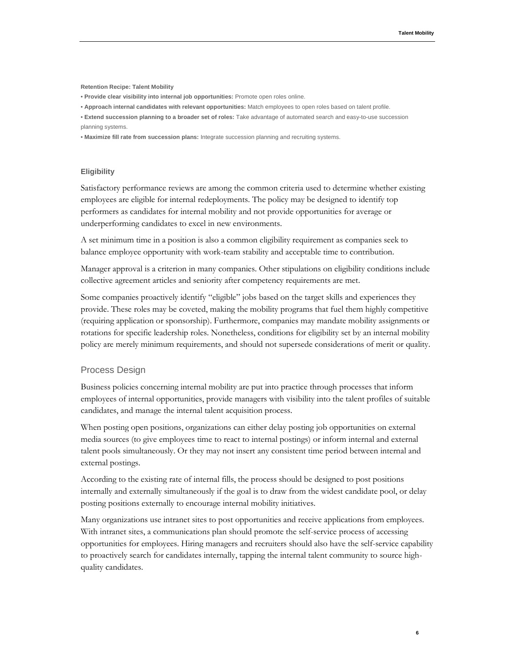**Retention Recipe: Talent Mobility**

- **Provide clear visibility into internal job opportunities:** Promote open roles online.
- **Approach internal candidates with relevant opportunities:** Match employees to open roles based on talent profile.
- **Extend succession planning to a broader set of roles:** Take advantage of automated search and easy-to-use succession planning systems.

• **Maximize fill rate from succession plans:** Integrate succession planning and recruiting systems.

#### **Eligibility**

Satisfactory performance reviews are among the common criteria used to determine whether existing employees are eligible for internal redeployments. The policy may be designed to identify top performers as candidates for internal mobility and not provide opportunities for average or underperforming candidates to excel in new environments.

A set minimum time in a position is also a common eligibility requirement as companies seek to balance employee opportunity with work-team stability and acceptable time to contribution.

Manager approval is a criterion in many companies. Other stipulations on eligibility conditions include collective agreement articles and seniority after competency requirements are met.

Some companies proactively identify "eligible" jobs based on the target skills and experiences they provide. These roles may be coveted, making the mobility programs that fuel them highly competitive (requiring application or sponsorship). Furthermore, companies may mandate mobility assignments or rotations for specific leadership roles. Nonetheless, conditions for eligibility set by an internal mobility policy are merely minimum requirements, and should not supersede considerations of merit or quality.

#### <span id="page-7-0"></span>Process Design

Business policies concerning internal mobility are put into practice through processes that inform employees of internal opportunities, provide managers with visibility into the talent profiles of suitable candidates, and manage the internal talent acquisition process.

When posting open positions, organizations can either delay posting job opportunities on external media sources (to give employees time to react to internal postings) or inform internal and external talent pools simultaneously. Or they may not insert any consistent time period between internal and external postings.

According to the existing rate of internal fills, the process should be designed to post positions internally and externally simultaneously if the goal is to draw from the widest candidate pool, or delay posting positions externally to encourage internal mobility initiatives.

Many organizations use intranet sites to post opportunities and receive applications from employees. With intranet sites, a communications plan should promote the self-service process of accessing opportunities for employees. Hiring managers and recruiters should also have the self-service capability to proactively search for candidates internally, tapping the internal talent community to source highquality candidates.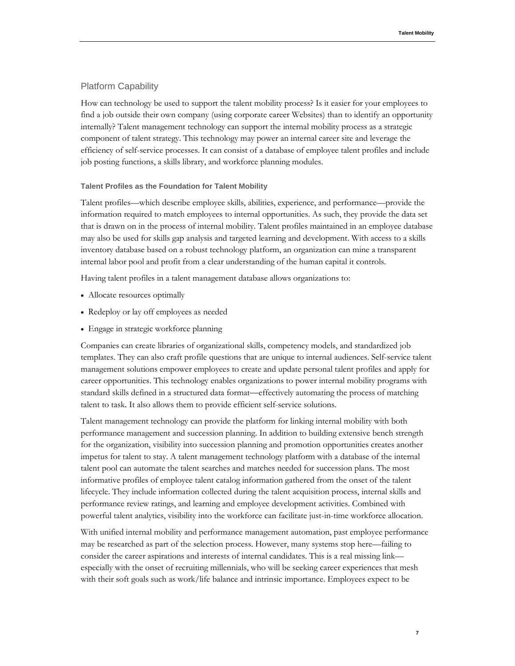### <span id="page-8-0"></span>Platform Capability

How can technology be used to support the talent mobility process? Is it easier for your employees to find a job outside their own company (using corporate career Websites) than to identify an opportunity internally? Talent management technology can support the internal mobility process as a strategic component of talent strategy. This technology may power an internal career site and leverage the efficiency of self-service processes. It can consist of a database of employee talent profiles and include job posting functions, a skills library, and workforce planning modules.

#### **Talent Profiles as the Foundation for Talent Mobility**

Talent profiles—which describe employee skills, abilities, experience, and performance—provide the information required to match employees to internal opportunities. As such, they provide the data set that is drawn on in the process of internal mobility. Talent profiles maintained in an employee database may also be used for skills gap analysis and targeted learning and development. With access to a skills inventory database based on a robust technology platform, an organization can mine a transparent internal labor pool and profit from a clear understanding of the human capital it controls.

Having talent profiles in a talent management database allows organizations to:

- Allocate resources optimally
- Redeploy or lay off employees as needed
- Engage in strategic workforce planning

Companies can create libraries of organizational skills, competency models, and standardized job templates. They can also craft profile questions that are unique to internal audiences. Self-service talent management solutions empower employees to create and update personal talent profiles and apply for career opportunities. This technology enables organizations to power internal mobility programs with standard skills defined in a structured data format—effectively automating the process of matching talent to task. It also allows them to provide efficient self-service solutions.

Talent management technology can provide the platform for linking internal mobility with both performance management and succession planning. In addition to building extensive bench strength for the organization, visibility into succession planning and promotion opportunities creates another impetus for talent to stay. A talent management technology platform with a database of the internal talent pool can automate the talent searches and matches needed for succession plans. The most informative profiles of employee talent catalog information gathered from the onset of the talent lifecycle. They include information collected during the talent acquisition process, internal skills and performance review ratings, and learning and employee development activities. Combined with powerful talent analytics, visibility into the workforce can facilitate just-in-time workforce allocation.

With unified internal mobility and performance management automation, past employee performance may be researched as part of the selection process. However, many systems stop here—failing to consider the career aspirations and interests of internal candidates. This is a real missing link especially with the onset of recruiting millennials, who will be seeking career experiences that mesh with their soft goals such as work/life balance and intrinsic importance. Employees expect to be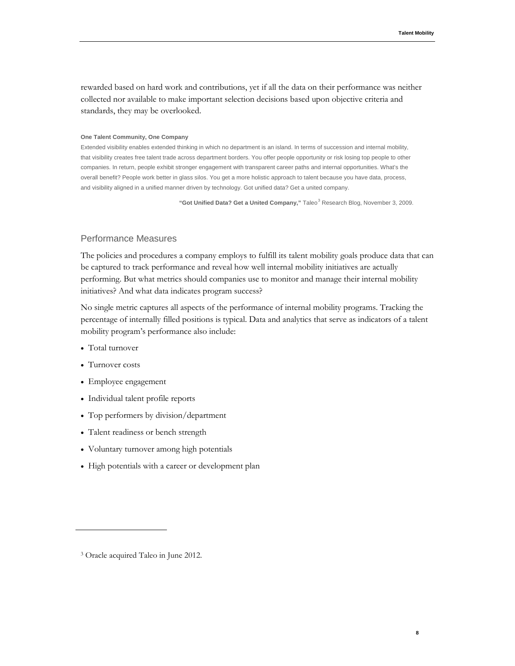**8**

rewarded based on hard work and contributions, yet if all the data on their performance was neither collected nor available to make important selection decisions based upon objective criteria and standards, they may be overlooked.

#### **One Talent Community, One Company**

Extended visibility enables extended thinking in which no department is an island. In terms of succession and internal mobility, that visibility creates free talent trade across department borders. You offer people opportunity or risk losing top people to other companies. In return, people exhibit stronger engagement with transparent career paths and internal opportunities. What's the overall benefit? People work better in glass silos. You get a more holistic approach to talent because you have data, process, and visibility aligned in a unified manner driven by technology. Got unified data? Get a united company.

"Got Unified Data? Get a United Company," Taleo<sup>[3](#page-9-1)</sup> Research Blog, November 3, 2009.

# <span id="page-9-0"></span>Performance Measures

The policies and procedures a company employs to fulfill its talent mobility goals produce data that can be captured to track performance and reveal how well internal mobility initiatives are actually performing. But what metrics should companies use to monitor and manage their internal mobility initiatives? And what data indicates program success?

No single metric captures all aspects of the performance of internal mobility programs. Tracking the percentage of internally filled positions is typical. Data and analytics that serve as indicators of a talent mobility program's performance also include:

- Total turnover
- Turnover costs
- Employee engagement
- Individual talent profile reports
- Top performers by division/department
- Talent readiness or bench strength
- Voluntary turnover among high potentials
- High potentials with a career or development plan

<span id="page-9-1"></span><sup>3</sup> Oracle acquired Taleo in June 2012.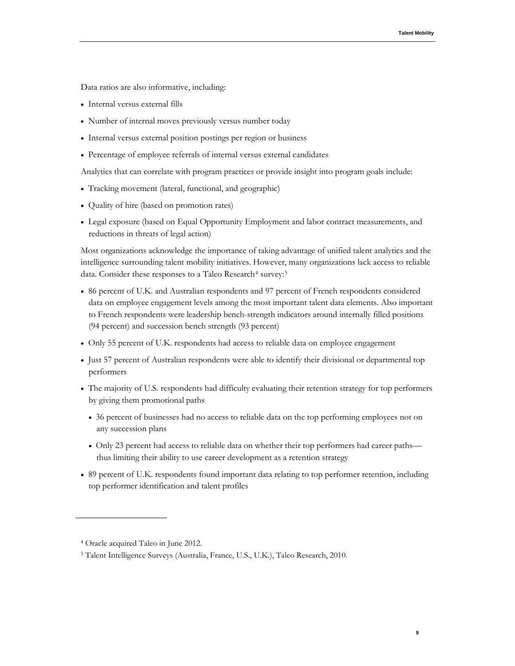Data ratios are also informative, including:

- Internal versus external fills
- Number of internal moves previously versus number today
- Internal versus external position postings per region or business
- Percentage of employee referrals of internal versus external candidates

Analytics that can correlate with program practices or provide insight into program goals include:

- Tracking movement (lateral, functional, and geographic)
- Quality of hire (based on promotion rates)
- Legal exposure (based on Equal Opportunity Employment and labor contract measurements, and reductions in threats of legal action)

Most organizations acknowledge the importance of taking advantage of unified talent analytics and the intelligence surrounding talent mobility initiatives. However, many organizations lack access to reliable data. Consider these responses to a Taleo Research<sup>[4](#page-10-0)</sup> survey:<sup>[5](#page-10-1)</sup>

- 86 percent of U.K. and Australian respondents and 97 percent of French respondents considered data on employee engagement levels among the most important talent data elements. Also important to French respondents were leadership bench-strength indicators around internally filled positions (94 percent) and succession bench strength (93 percent)
- Only 55 percent of U.K. respondents had access to reliable data on employee engagement
- Just 57 percent of Australian respondents were able to identify their divisional or departmental top performers
- The majority of U.S. respondents had difficulty evaluating their retention strategy for top performers by giving them promotional paths
	- 36 percent of businesses had no access to reliable data on the top performing employees not on any succession plans
	- Only 23 percent had access to reliable data on whether their top performers had career paths thus limiting their ability to use career development as a retention strategy
- 89 percent of U.K. respondents found important data relating to top performer retention, including top performer identification and talent profiles

<span id="page-10-0"></span><sup>4</sup> Oracle acquired Taleo in June 2012.

<span id="page-10-1"></span><sup>5</sup> Talent Intelligence Surveys (Australia, France, U.S., U.K.), Taleo Research, 2010.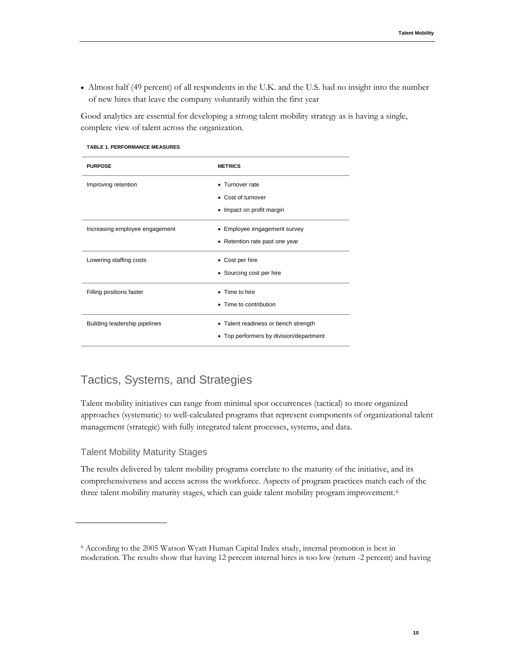• Almost half (49 percent) of all respondents in the U.K. and the U.S. had no insight into the number of new hires that leave the company voluntarily within the first year

Good analytics are essential for developing a strong talent mobility strategy as is having a single, complete view of talent across the organization.

#### **TABLE 1. PERFORMANCE MEASURES**

| <b>PURPOSE</b>                 | <b>METRICS</b>                                                                  |
|--------------------------------|---------------------------------------------------------------------------------|
| Improving retention            | • Turnover rate<br>• Cost of turnover<br>• Impact on profit margin              |
| Increasing employee engagement | • Employee engagement survey<br>• Retention rate past one year                  |
| Lowering staffing costs        | • Cost per hire<br>• Sourcing cost per hire                                     |
| Filling positions faster       | • Time to hire<br>• Time to contribution                                        |
| Building leadership pipelines  | • Talent readiness or bench strength<br>• Top performers by division/department |

# <span id="page-11-0"></span>Tactics, Systems, and Strategies

Talent mobility initiatives can range from minimal spot occurrences (tactical) to more organized approaches (systematic) to well-calculated programs that represent components of organizational talent management (strategic) with fully integrated talent processes, systems, and data.

# <span id="page-11-1"></span>Talent Mobility Maturity Stages

The results delivered by talent mobility programs correlate to the maturity of the initiative, and its comprehensiveness and access across the workforce. Aspects of program practices match each of the three talent mobility maturity stages, which can guide talent mobility program improvement.[6](#page-11-2)

<span id="page-11-2"></span><sup>6</sup> According to the 2005 Watson Wyatt Human Capital Index study, internal promotion is best in moderation. The results show that having 12 percent internal hires is too low (return -2 percent) and having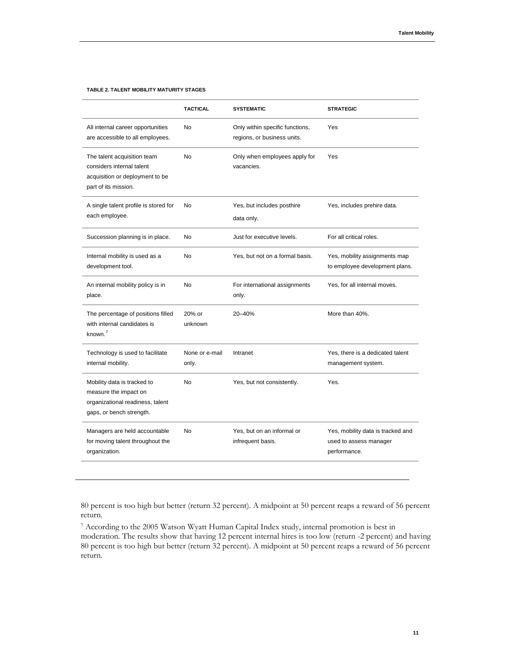#### **TABLE 2. TALENT MOBILITY MATURITY STAGES**

|                                                                                                                      | <b>TACTICAL</b>         | <b>SYSTEMATIC</b>                                              | <b>STRATEGIC</b>                                                            |
|----------------------------------------------------------------------------------------------------------------------|-------------------------|----------------------------------------------------------------|-----------------------------------------------------------------------------|
| All internal career opportunities<br>are accessible to all employees.                                                | <b>No</b>               | Only within specific functions,<br>regions, or business units. | Yes                                                                         |
| The talent acquisition team<br>considers internal talent<br>acquisition or deployment to be<br>part of its mission.  | <b>No</b>               | Only when employees apply for<br>vacancies.                    | Yes                                                                         |
| A single talent profile is stored for<br>each employee.                                                              | No                      | Yes, but includes posthire<br>data only.                       | Yes, includes prehire data.                                                 |
| Succession planning is in place.                                                                                     | No                      | Just for executive levels.                                     | For all critical roles.                                                     |
| Internal mobility is used as a<br>development tool.                                                                  | No                      | Yes, but not on a formal basis.                                | Yes, mobility assignments map<br>to employee development plans.             |
| An internal mobility policy is in<br>place.                                                                          | No                      | For international assignments<br>only.                         | Yes, for all internal moves.                                                |
| The percentage of positions filled<br>with internal candidates is<br>known. $7$                                      | 20% or<br>unknown       | 20-40%                                                         | More than 40%.                                                              |
| Technology is used to facilitate<br>internal mobility.                                                               | None or e-mail<br>only. | Intranet                                                       | Yes, there is a dedicated talent<br>management system.                      |
| Mobility data is tracked to<br>measure the impact on<br>organizational readiness, talent<br>gaps, or bench strength. | <b>No</b>               | Yes, but not consistently.                                     | Yes.                                                                        |
| Managers are held accountable<br>for moving talent throughout the<br>organization.                                   | <b>No</b>               | Yes, but on an informal or<br>infrequent basis.                | Yes, mobility data is tracked and<br>used to assess manager<br>performance. |

80 percent is too high but better (return 32 percent). A midpoint at 50 percent reaps a reward of 56 percent return.

<span id="page-12-0"></span><sup>7</sup> According to the 2005 Watson Wyatt Human Capital Index study, internal promotion is best in moderation. The results show that having 12 percent internal hires is too low (return -2 percent) and having 80 percent is too high but better (return 32 percent). A midpoint at 50 percent reaps a reward of 56 percent return.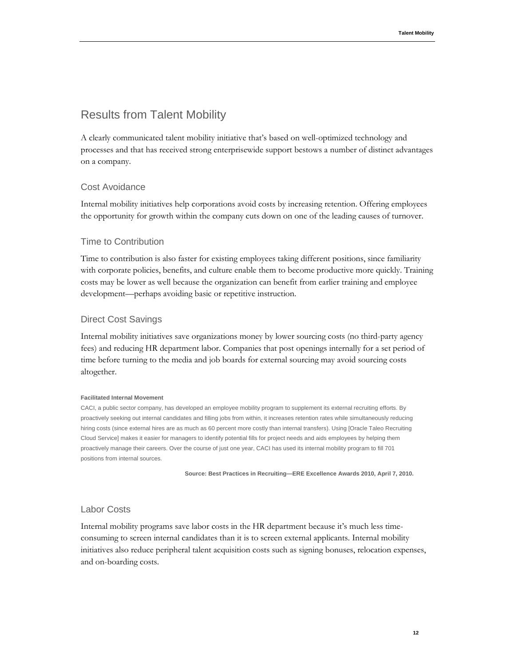# <span id="page-13-0"></span>Results from Talent Mobility

A clearly communicated talent mobility initiative that's based on well-optimized technology and processes and that has received strong enterprisewide support bestows a number of distinct advantages on a company.

# <span id="page-13-1"></span>Cost Avoidance

Internal mobility initiatives help corporations avoid costs by increasing retention. Offering employees the opportunity for growth within the company cuts down on one of the leading causes of turnover.

### <span id="page-13-2"></span>Time to Contribution

Time to contribution is also faster for existing employees taking different positions, since familiarity with corporate policies, benefits, and culture enable them to become productive more quickly. Training costs may be lower as well because the organization can benefit from earlier training and employee development—perhaps avoiding basic or repetitive instruction.

### <span id="page-13-3"></span>Direct Cost Savings

Internal mobility initiatives save organizations money by lower sourcing costs (no third-party agency fees) and reducing HR department labor. Companies that post openings internally for a set period of time before turning to the media and job boards for external sourcing may avoid sourcing costs altogether.

#### **Facilitated Internal Movement**

CACI, a public sector company, has developed an employee mobility program to supplement its external recruiting efforts. By proactively seeking out internal candidates and filling jobs from within, it increases retention rates while simultaneously reducing hiring costs (since external hires are as much as 60 percent more costly than internal transfers). Using [Oracle Taleo Recruiting Cloud Service] makes it easier for managers to identify potential fills for project needs and aids employees by helping them proactively manage their careers. Over the course of just one year, CACI has used its internal mobility program to fill 701 positions from internal sources.

**Source: Best Practices in Recruiting—ERE Excellence Awards 2010, April 7, 2010.** 

### <span id="page-13-4"></span>Labor Costs

Internal mobility programs save labor costs in the HR department because it's much less timeconsuming to screen internal candidates than it is to screen external applicants. Internal mobility initiatives also reduce peripheral talent acquisition costs such as signing bonuses, relocation expenses, and on-boarding costs.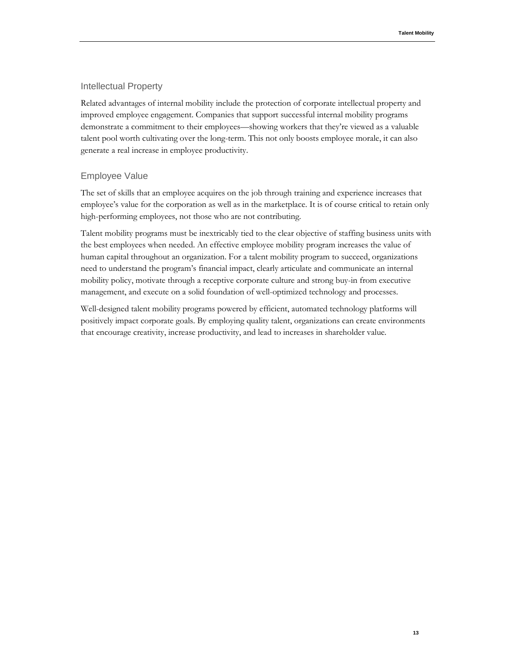### <span id="page-14-0"></span>Intellectual Property

Related advantages of internal mobility include the protection of corporate intellectual property and improved employee engagement. Companies that support successful internal mobility programs demonstrate a commitment to their employees—showing workers that they're viewed as a valuable talent pool worth cultivating over the long-term. This not only boosts employee morale, it can also generate a real increase in employee productivity.

# <span id="page-14-1"></span>Employee Value

The set of skills that an employee acquires on the job through training and experience increases that employee's value for the corporation as well as in the marketplace. It is of course critical to retain only high-performing employees, not those who are not contributing.

Talent mobility programs must be inextricably tied to the clear objective of staffing business units with the best employees when needed. An effective employee mobility program increases the value of human capital throughout an organization. For a talent mobility program to succeed, organizations need to understand the program's financial impact, clearly articulate and communicate an internal mobility policy, motivate through a receptive corporate culture and strong buy-in from executive management, and execute on a solid foundation of well-optimized technology and processes.

Well-designed talent mobility programs powered by efficient, automated technology platforms will positively impact corporate goals. By employing quality talent, organizations can create environments that encourage creativity, increase productivity, and lead to increases in shareholder value.